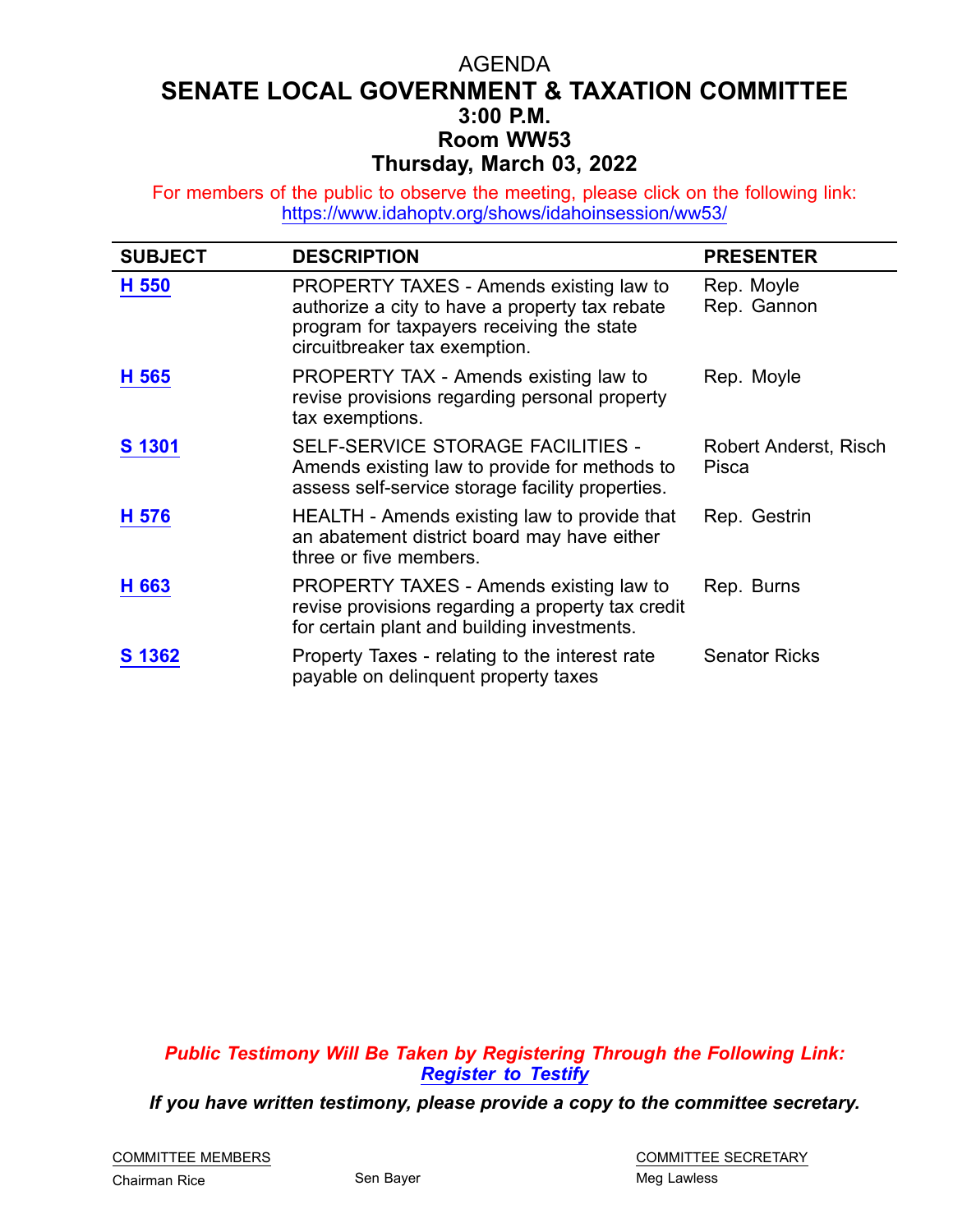## AGENDA **SENATE LOCAL GOVERNMENT & TAXATION COMMITTEE 3:00 P.M. Room WW53 Thursday, March 03, 2022**

For members of the public to observe the meeting, please click on the following link: <https://www.idahoptv.org/shows/idahoinsession/ww53/>

| <b>SUBJECT</b> | <b>DESCRIPTION</b>                                                                                                                                                      | <b>PRESENTER</b>               |
|----------------|-------------------------------------------------------------------------------------------------------------------------------------------------------------------------|--------------------------------|
| H 550          | PROPERTY TAXES - Amends existing law to<br>authorize a city to have a property tax rebate<br>program for taxpayers receiving the state<br>circuitbreaker tax exemption. | Rep. Moyle<br>Rep. Gannon      |
| H 565          | PROPERTY TAX - Amends existing law to<br>revise provisions regarding personal property<br>tax exemptions.                                                               | Rep. Moyle                     |
| S 1301         | SELF-SERVICE STORAGE FACILITIES -<br>Amends existing law to provide for methods to<br>assess self-service storage facility properties.                                  | Robert Anderst, Risch<br>Pisca |
| H 576          | HEALTH - Amends existing law to provide that<br>an abatement district board may have either<br>three or five members.                                                   | Rep. Gestrin                   |
| H 663          | PROPERTY TAXES - Amends existing law to<br>revise provisions regarding a property tax credit<br>for certain plant and building investments.                             | Rep. Burns                     |
| S 1362         | Property Taxes - relating to the interest rate<br>payable on delinquent property taxes                                                                                  | <b>Senator Ricks</b>           |

*Public Testimony Will Be Taken by Registering Through the Following Link: [Register](https://legislature.idaho.gov/sessioninfo/2022/standingcommittees/slgt/#hcode-tab-style2testimony-registration-remote-in-person) to Testify*

*If you have written testimony, please provide <sup>a</sup> copy to the committee secretary.*